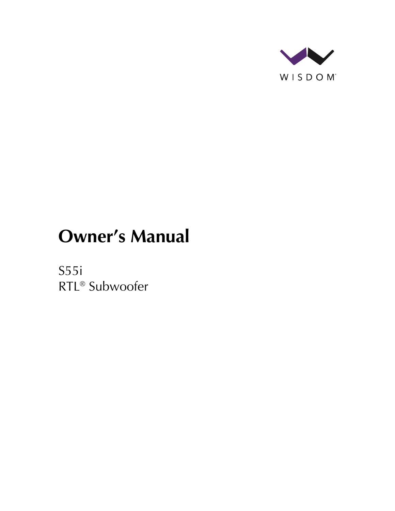

# **Owner's Manual**

S55i RTL® Subwoofer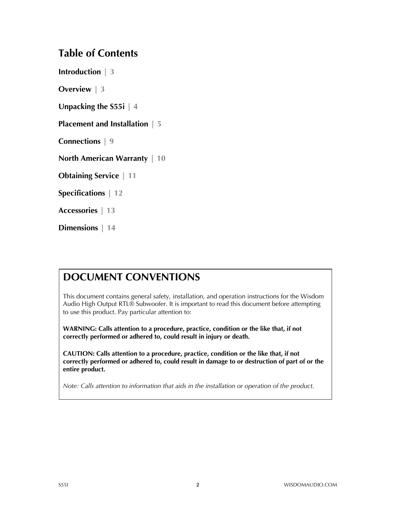### **Table of Contents**

**Introduction | 3**

**Overview | 3**

**Unpacking the S55i | 4**

**Placement and Installation | 5**

**Connections | 9**

**North American Warranty | 10**

**Obtaining Service | 11**

**Specifications | 12**

**Accessories | 13**

**Dimensions | 14**

### **DOCUMENT CONVENTIONS**

This document contains general safety, installation, and operation instructions for the Wisdom Audio High Output RTL® Subwoofer. It is important to read this document before attempting to use this product. Pay particular attention to:

**WARNING: Calls attention to a procedure, practice, condition or the like that, if not correctly performed or adhered to, could result in injury or death.** 

**CAUTION: Calls attention to a procedure, practice, condition or the like that, if not correctly performed or adhered to, could result in damage to or destruction of part of or the entire product.** 

*Note: Calls attention to information that aids in the installation or operation of the product.*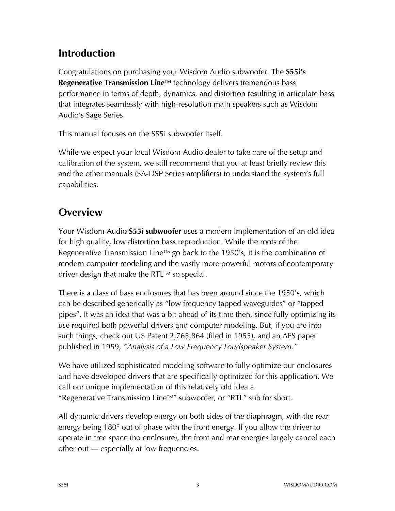# **Introduction**

Congratulations on purchasing your Wisdom Audio subwoofer. The **S55i's Regenerative Transmission Line™** technology delivers tremendous bass performance in terms of depth, dynamics, and distortion resulting in articulate bass that integrates seamlessly with high-resolution main speakers such as Wisdom Audio's Sage Series.

This manual focuses on the S55i subwoofer itself.

While we expect your local Wisdom Audio dealer to take care of the setup and calibration of the system, we still recommend that you at least briefly review this and the other manuals (SA-DSP Series amplifiers) to understand the system's full capabilities.

# **Overview**

Your Wisdom Audio **S55i subwoofer** uses a modern implementation of an old idea for high quality, low distortion bass reproduction. While the roots of the Regenerative Transmission Line<sup>TM</sup> go back to the 1950's, it is the combination of modern computer modeling and the vastly more powerful motors of contemporary driver design that make the RTL™ so special.

There is a class of bass enclosures that has been around since the 1950's, which can be described generically as "low frequency tapped waveguides" or "tapped pipes". It was an idea that was a bit ahead of its time then, since fully optimizing its use required both powerful drivers and computer modeling. But, if you are into such things, check out US Patent 2,765,864 (filed in 1955), and an AES paper published in 1959, *"Analysis of a Low Frequency Loudspeaker System."*

We have utilized sophisticated modeling software to fully optimize our enclosures and have developed drivers that are specifically optimized for this application. We call our unique implementation of this relatively old idea a "Regenerative Transmission Line<sup>TM"</sup> subwoofer, or "RTL" sub for short.

All dynamic drivers develop energy on both sides of the diaphragm, with the rear energy being 180° out of phase with the front energy. If you allow the driver to operate in free space (no enclosure), the front and rear energies largely cancel each other out — especially at low frequencies.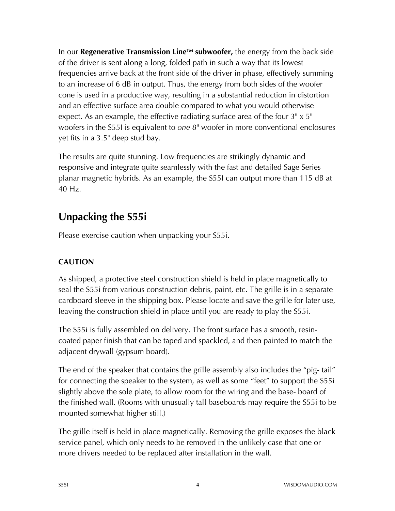In our **Regenerative Transmission LineTM subwoofer,** the energy from the back side of the driver is sent along a long, folded path in such a way that its lowest frequencies arrive back at the front side of the driver in phase, effectively summing to an increase of 6 dB in output. Thus, the energy from both sides of the woofer cone is used in a productive way, resulting in a substantial reduction in distortion and an effective surface area double compared to what you would otherwise expect. As an example, the effective radiating surface area of the four 3" x 5" woofers in the S55I is equivalent to *one* 8" woofer in more conventional enclosures yet fits in a 3.5" deep stud bay.

The results are quite stunning. Low frequencies are strikingly dynamic and responsive and integrate quite seamlessly with the fast and detailed Sage Series planar magnetic hybrids. As an example, the S55I can output more than 115 dB at 40 Hz.

# **Unpacking the S55i**

Please exercise caution when unpacking your S55i.

#### **CAUTION**

As shipped, a protective steel construction shield is held in place magnetically to seal the S55i from various construction debris, paint, etc. The grille is in a separate cardboard sleeve in the shipping box. Please locate and save the grille for later use, leaving the construction shield in place until you are ready to play the S55i.

The S55i is fully assembled on delivery. The front surface has a smooth, resincoated paper finish that can be taped and spackled, and then painted to match the adjacent drywall (gypsum board).

The end of the speaker that contains the grille assembly also includes the "pig- tail" for connecting the speaker to the system, as well as some "feet" to support the S55i slightly above the sole plate, to allow room for the wiring and the base- board of the finished wall. (Rooms with unusually tall baseboards may require the S55i to be mounted somewhat higher still.)

The grille itself is held in place magnetically. Removing the grille exposes the black service panel, which only needs to be removed in the unlikely case that one or more drivers needed to be replaced after installation in the wall.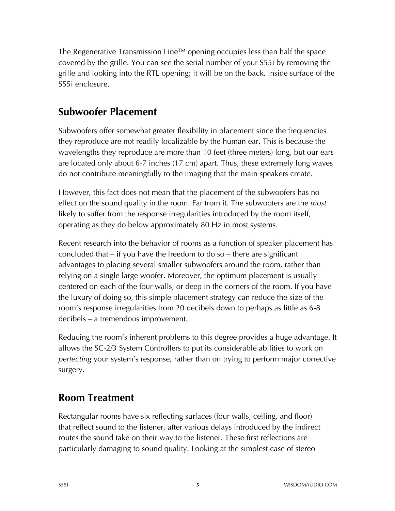The Regenerative Transmission Line<sup>TM</sup> opening occupies less than half the space covered by the grille. You can see the serial number of your S55i by removing the grille and looking into the RTL opening; it will be on the back, inside surface of the S55i enclosure.

### **Subwoofer Placement**

Subwoofers offer somewhat greater flexibility in placement since the frequencies they reproduce are not readily localizable by the human ear. This is because the wavelengths they reproduce are more than 10 feet (three meters) long, but our ears are located only about 6-7 inches (17 cm) apart. Thus, these extremely long waves do not contribute meaningfully to the imaging that the main speakers create.

However, this fact does not mean that the placement of the subwoofers has no effect on the sound quality in the room. Far from it. The subwoofers are the *most*  likely to suffer from the response irregularities introduced by the room itself, operating as they do below approximately 80 Hz in most systems.

Recent research into the behavior of rooms as a function of speaker placement has concluded that – if you have the freedom to do so – there are significant advantages to placing several smaller subwoofers around the room, rather than relying on a single large woofer. Moreover, the optimum placement is usually centered on each of the four walls, or deep in the corners of the room. If you have the luxury of doing so, this simple placement strategy can reduce the size of the room's response irregularities from 20 decibels down to perhaps as little as 6-8 decibels – a tremendous improvement.

Reducing the room's inherent problems to this degree provides a huge advantage. It allows the SC-2/3 System Controllers to put its considerable abilities to work on *perfecting* your system's response, rather than on trying to perform major corrective surgery.

# **Room Treatment**

Rectangular rooms have six reflecting surfaces (four walls, ceiling, and floor) that reflect sound to the listener, after various delays introduced by the indirect routes the sound take on their way to the listener. These first reflections are particularly damaging to sound quality. Looking at the simplest case of stereo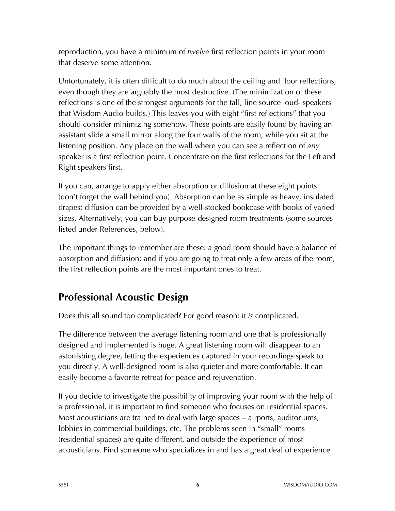reproduction, you have a minimum of *twelve* first reflection points in your room that deserve some attention.

Unfortunately, it is often difficult to do much about the ceiling and floor reflections, even though they are arguably the most destructive. (The minimization of these reflections is one of the strongest arguments for the tall, line source loud- speakers that Wisdom Audio builds.) This leaves you with eight "first reflections" that you should consider minimizing somehow. These points are easily found by having an assistant slide a small mirror along the four walls of the room, while you sit at the listening position. Any place on the wall where you can see a reflection of *any*  speaker is a first reflection point. Concentrate on the first reflections for the Left and Right speakers first.

If you can, arrange to apply either absorption or diffusion at these eight points (don't forget the wall behind you). Absorption can be as simple as heavy, insulated drapes; diffusion can be provided by a well-stocked bookcase with books of varied sizes. Alternatively, you can buy purpose-designed room treatments (some sources listed under References, below).

The important things to remember are these: a good room should have a balance of absorption and diffusion; and if you are going to treat only a few areas of the room, the first reflection points are the most important ones to treat.

# **Professional Acoustic Design**

Does this all sound too complicated? For good reason: it *is* complicated.

The difference between the average listening room and one that is professionally designed and implemented is huge. A great listening room will disappear to an astonishing degree, letting the experiences captured in your recordings speak to you directly. A well-designed room is also quieter and more comfortable. It can easily become a favorite retreat for peace and rejuvenation.

If you decide to investigate the possibility of improving your room with the help of a professional, it is important to find someone who focuses on residential spaces. Most acousticians are trained to deal with large spaces – airports, auditoriums, lobbies in commercial buildings, etc. The problems seen in "small" rooms (residential spaces) are quite different, and outside the experience of most acousticians. Find someone who specializes in and has a great deal of experience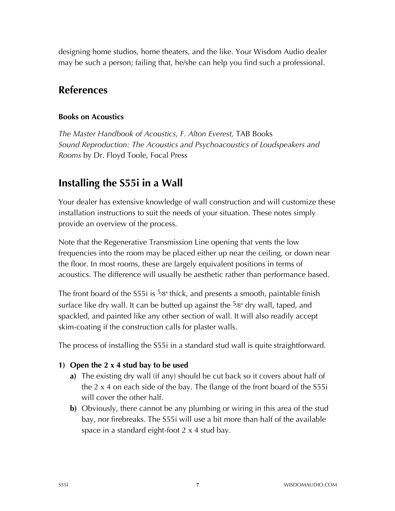designing home studios, home theaters, and the like. Your Wisdom Audio dealer may be such a person; failing that, he/she can help you find such a professional.

### **References**

#### **Books on Acoustics**

*The Master Handbook of Acoustics, F. Alton Everest,* TAB Books *Sound Reproduction: The Acoustics and Psychoacoustics of Loudspeakers and Rooms* by Dr. Floyd Toole, Focal Press

# **Installing the S55i in a Wall**

Your dealer has extensive knowledge of wall construction and will customize these installation instructions to suit the needs of your situation. These notes simply provide an overview of the process.

Note that the Regenerative Transmission Line opening that vents the low frequencies into the room may be placed either up near the ceiling, or down near the floor. In most rooms, these are largely equivalent positions in terms of acoustics. The difference will usually be aesthetic rather than performance based.

The front board of the S55i is  $\frac{5}{8}$ " thick, and presents a smooth, paintable finish surface like dry wall. It can be butted up against the  $5/8$ " dry wall, taped, and spackled, and painted like any other section of wall. It will also readily accept skim-coating if the construction calls for plaster walls.

The process of installing the S55i in a standard stud wall is quite straightforward.

#### **1) Open the 2 x 4 stud bay to be used**

- **a)** The existing dry wall (if any) should be cut back so it covers about half of the 2 x 4 on each side of the bay. The flange of the front board of the S55i will cover the other half.
- **b)** Obviously, there cannot be any plumbing or wiring in this area of the stud bay, nor firebreaks. The S55i will use a bit more than half of the available space in a standard eight-foot 2 x 4 stud bay.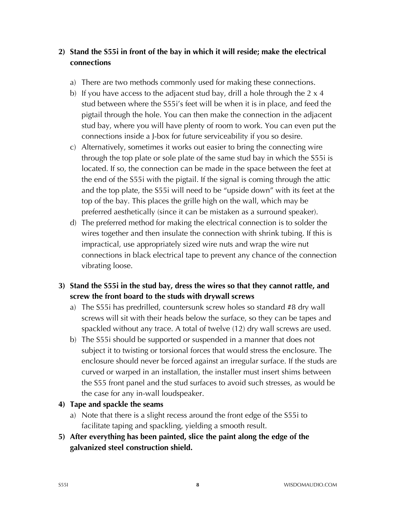#### **2) Stand the S55i in front of the bay in which it will reside; make the electrical connections**

- a) There are two methods commonly used for making these connections.
- b) If you have access to the adjacent stud bay, drill a hole through the 2 x 4 stud between where the S55i's feet will be when it is in place, and feed the pigtail through the hole. You can then make the connection in the adjacent stud bay, where you will have plenty of room to work. You can even put the connections inside a J-box for future serviceability if you so desire.
- c) Alternatively, sometimes it works out easier to bring the connecting wire through the top plate or sole plate of the same stud bay in which the S55i is located. If so, the connection can be made in the space between the feet at the end of the S55i with the pigtail. If the signal is coming through the attic and the top plate, the S55i will need to be "upside down" with its feet at the top of the bay. This places the grille high on the wall, which may be preferred aesthetically (since it can be mistaken as a surround speaker).
- d) The preferred method for making the electrical connection is to solder the wires together and then insulate the connection with shrink tubing. If this is impractical, use appropriately sized wire nuts and wrap the wire nut connections in black electrical tape to prevent any chance of the connection vibrating loose.
- **3) Stand the S55i in the stud bay, dress the wires so that they cannot rattle, and screw the front board to the studs with drywall screws**
	- a) The S55i has predrilled, countersunk screw holes so standard #8 dry wall screws will sit with their heads below the surface, so they can be tapes and spackled without any trace. A total of twelve (12) dry wall screws are used.
	- b) The S55i should be supported or suspended in a manner that does not subject it to twisting or torsional forces that would stress the enclosure. The enclosure should never be forced against an irregular surface. If the studs are curved or warped in an installation, the installer must insert shims between the S55 front panel and the stud surfaces to avoid such stresses, as would be the case for any in-wall loudspeaker.
- **4) Tape and spackle the seams** 
	- a) Note that there is a slight recess around the front edge of the S55i to facilitate taping and spackling, yielding a smooth result.
- **5) After everything has been painted, slice the paint along the edge of the galvanized steel construction shield.**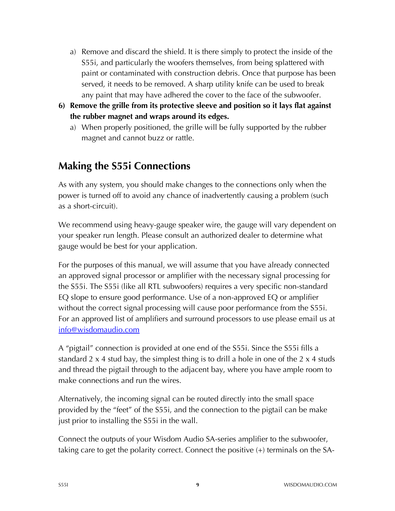- a) Remove and discard the shield. It is there simply to protect the inside of the S55i, and particularly the woofers themselves, from being splattered with paint or contaminated with construction debris. Once that purpose has been served, it needs to be removed. A sharp utility knife can be used to break any paint that may have adhered the cover to the face of the subwoofer.
- **6) Remove the grille from its protective sleeve and position so it lays flat against the rubber magnet and wraps around its edges.**
	- a) When properly positioned, the grille will be fully supported by the rubber magnet and cannot buzz or rattle.

### **Making the S55i Connections**

As with any system, you should make changes to the connections only when the power is turned off to avoid any chance of inadvertently causing a problem (such as a short-circuit).

We recommend using heavy-gauge speaker wire, the gauge will vary dependent on your speaker run length. Please consult an authorized dealer to determine what gauge would be best for your application.

For the purposes of this manual, we will assume that you have already connected an approved signal processor or amplifier with the necessary signal processing for the S55i. The S55i (like all RTL subwoofers) requires a very specific non-standard EQ slope to ensure good performance. Use of a non-approved EQ or amplifier without the correct signal processing will cause poor performance from the S55i. For an approved list of amplifiers and surround processors to use please email us at info@wisdomaudio.com

A "pigtail" connection is provided at one end of the S55i. Since the S55i fills a standard 2 x 4 stud bay, the simplest thing is to drill a hole in one of the 2 x 4 studs and thread the pigtail through to the adjacent bay, where you have ample room to make connections and run the wires.

Alternatively, the incoming signal can be routed directly into the small space provided by the "feet" of the S55i, and the connection to the pigtail can be make just prior to installing the S55i in the wall.

Connect the outputs of your Wisdom Audio SA-series amplifier to the subwoofer, taking care to get the polarity correct. Connect the positive (+) terminals on the SA-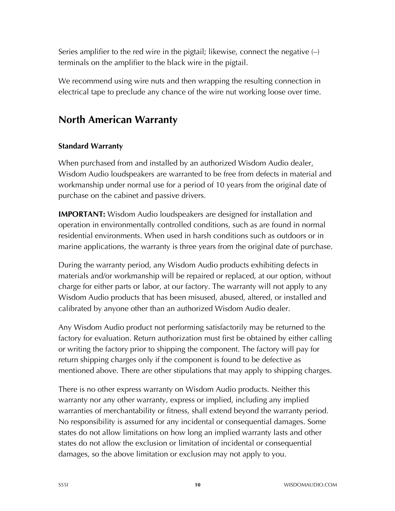Series amplifier to the red wire in the pigtail; likewise, connect the negative  $\left(\frac{1}{2}\right)$ terminals on the amplifier to the black wire in the pigtail.

We recommend using wire nuts and then wrapping the resulting connection in electrical tape to preclude any chance of the wire nut working loose over time.

### **North American Warranty**

#### **Standard Warranty**

When purchased from and installed by an authorized Wisdom Audio dealer, Wisdom Audio loudspeakers are warranted to be free from defects in material and workmanship under normal use for a period of 10 years from the original date of purchase on the cabinet and passive drivers.

**IMPORTANT:** Wisdom Audio loudspeakers are designed for installation and operation in environmentally controlled conditions, such as are found in normal residential environments. When used in harsh conditions such as outdoors or in marine applications, the warranty is three years from the original date of purchase.

During the warranty period, any Wisdom Audio products exhibiting defects in materials and/or workmanship will be repaired or replaced, at our option, without charge for either parts or labor, at our factory. The warranty will not apply to any Wisdom Audio products that has been misused, abused, altered, or installed and calibrated by anyone other than an authorized Wisdom Audio dealer.

Any Wisdom Audio product not performing satisfactorily may be returned to the factory for evaluation. Return authorization must first be obtained by either calling or writing the factory prior to shipping the component. The factory will pay for return shipping charges only if the component is found to be defective as mentioned above. There are other stipulations that may apply to shipping charges.

There is no other express warranty on Wisdom Audio products. Neither this warranty nor any other warranty, express or implied, including any implied warranties of merchantability or fitness, shall extend beyond the warranty period. No responsibility is assumed for any incidental or consequential damages. Some states do not allow limitations on how long an implied warranty lasts and other states do not allow the exclusion or limitation of incidental or consequential damages, so the above limitation or exclusion may not apply to you.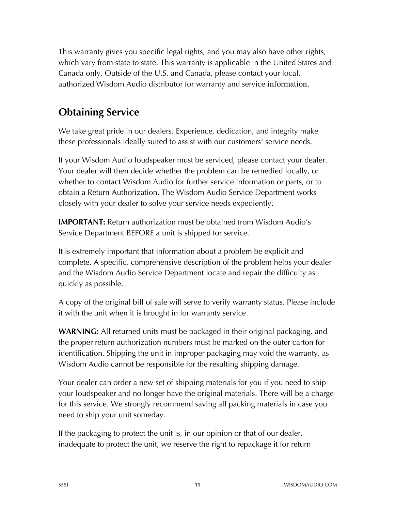This warranty gives you specific legal rights, and you may also have other rights, which vary from state to state. This warranty is applicable in the United States and Canada only. Outside of the U.S. and Canada, please contact your local, authorized Wisdom Audio distributor for warranty and service information.

# **Obtaining Service**

We take great pride in our dealers. Experience, dedication, and integrity make these professionals ideally suited to assist with our customers' service needs.

If your Wisdom Audio loudspeaker must be serviced, please contact your dealer. Your dealer will then decide whether the problem can be remedied locally, or whether to contact Wisdom Audio for further service information or parts, or to obtain a Return Authorization. The Wisdom Audio Service Department works closely with your dealer to solve your service needs expediently.

**IMPORTANT:** Return authorization must be obtained from Wisdom Audio's Service Department BEFORE a unit is shipped for service.

It is extremely important that information about a problem be explicit and complete. A specific, comprehensive description of the problem helps your dealer and the Wisdom Audio Service Department locate and repair the difficulty as quickly as possible.

A copy of the original bill of sale will serve to verify warranty status. Please include it with the unit when it is brought in for warranty service.

**WARNING:** All returned units must be packaged in their original packaging, and the proper return authorization numbers must be marked on the outer carton for identification. Shipping the unit in improper packaging may void the warranty, as Wisdom Audio cannot be responsible for the resulting shipping damage.

Your dealer can order a new set of shipping materials for you if you need to ship your loudspeaker and no longer have the original materials. There will be a charge for this service. We strongly recommend saving all packing materials in case you need to ship your unit someday.

If the packaging to protect the unit is, in our opinion or that of our dealer, inadequate to protect the unit, we reserve the right to repackage it for return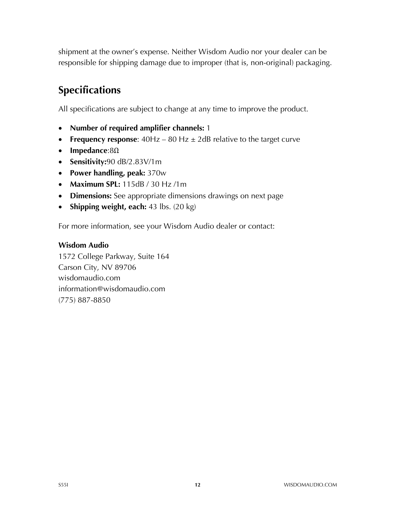shipment at the owner's expense. Neither Wisdom Audio nor your dealer can be responsible for shipping damage due to improper (that is, non-original) packaging.

# **Specifications**

All specifications are subject to change at any time to improve the product.

- **Number of required amplifier channels:** 1
- **Frequency response:**  $40Hz 80 Hz \pm 2dB$  relative to the target curve
- **Impedance**:8Ω
- **Sensitivity:**90 dB/2.83V/1m
- **Power handling, peak:** 370w
- **Maximum SPL:** 115dB / 30 Hz /1m
- **Dimensions:** See appropriate dimensions drawings on next page
- **Shipping weight, each:** 43 lbs. (20 kg)

For more information, see your Wisdom Audio dealer or contact:

#### **Wisdom Audio**

1572 College Parkway, Suite 164 Carson City, NV 89706 wisdomaudio.com information@wisdomaudio.com (775) 887-8850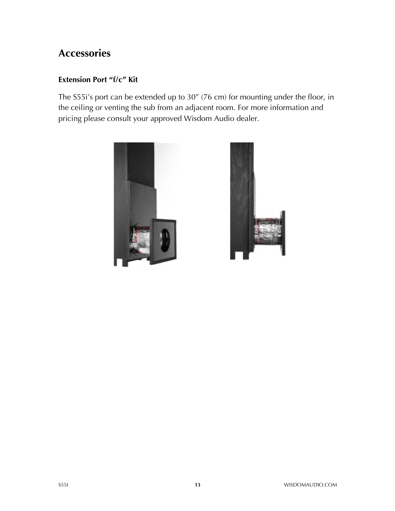### **Accessories**

#### **Extension Port "f/c" Kit**

The S55i's port can be extended up to 30" (76 cm) for mounting under the floor, in the ceiling or venting the sub from an adjacent room. For more information and pricing please consult your approved Wisdom Audio dealer.



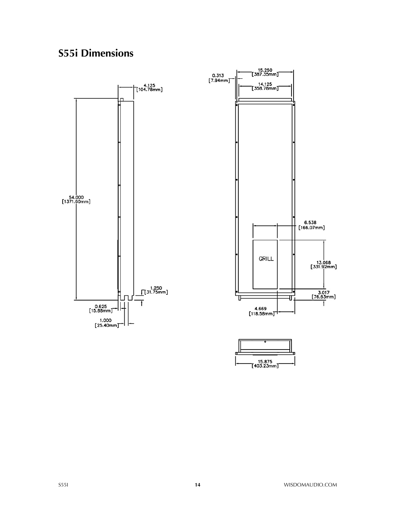# **S55i Dimensions**